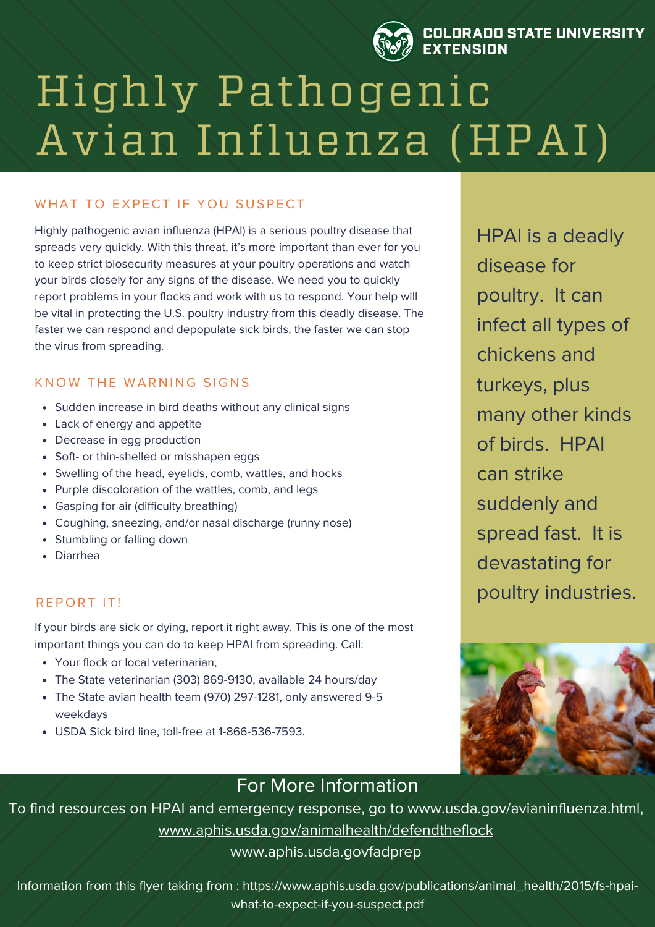

#### **OLORADO STATE UNIVERSITY EXTENSION**

# Highly Pathogenic Avian Influenza (HPAI)

## WHAT TO EXPECT IF YOU SUSPECT

Highly pathogenic avian influenza (HPAI) is a serious poultry disease that spreads very quickly. With this threat, it's more important than ever for you to keep strict biosecurity measures at your poultry operations and watch your birds closely for any signs of the disease. We need you to quickly report problems in your flocks and work with us to respond. Your help will be vital in protecting the U.S. poultry industry from this deadly disease. The faster we can respond and depopulate sick birds, the faster we can stop the virus from spreading.

## KNOW THE WARNING SIGNS

- Sudden increase in bird deaths without any clinical signs
- Lack of energy and appetite
- Decrease in egg production
- Soft- or thin-shelled or misshapen eggs
- Swelling of the head, eyelids, comb, wattles, and hocks
- Purple discoloration of the wattles, comb, and legs
- Gasping for air (difficulty breathing)
- Coughing, sneezing, and/or nasal discharge (runny nose)
- Stumbling or falling down
- Diarrhea

## REPORT IT!

If your birds are sick or dying, report it right away. This is one of the most important things you can do to keep HPAI from spreading. Call:

- Your flock or local veterinarian,
- The State veterinarian (303) 869-9130, available 24 hours/day
- The State avian health team (970) 297-1281, only answered 9-5 weekdays
- USDA Sick bird line, toll-free at 1-866-536-7593.

HPAI is a deadly disease for poultry. It can infect all types of chickens and turkeys, plus many other kinds of birds. HPAI can strike suddenly and spread fast. It is devastating for poultry industries.



## For More Information

To find resources on HPAI and emergency response, go to [www.usda.gov/avianinfluenza.html](http://www.usda.gov/avianinfluenza.html), [www.aphis.usda.gov/animalhealth/defendtheflock](http://www.aphis.usda.gov/animalhealth/defendtheflock) [www.aphis.usda.govfadprep](http://www.aphis.usda.govfadprep/)

Information from this flyer taking from : https://www.aphis.usda.gov/publications/animal\_health/2015/fs-hpaiwhat-to-expect-if-you-suspect.pdf